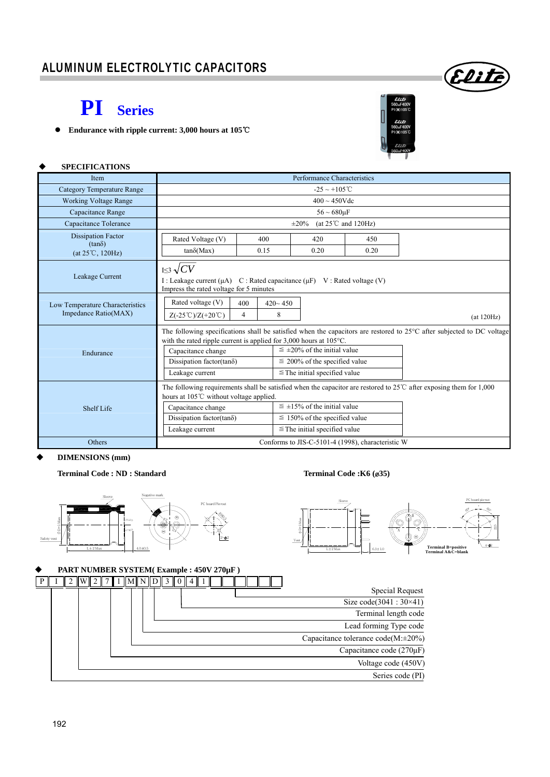# **PI Series**

**Endurance with ripple current: 3,000 hours at 105**℃



Elih

### **SPECIFICATIONS**

| Item                                                    | Performance Characteristics                                                                                                                                  |                                                                                                                                                                                                                                                   |  |                                                                                                                  |                                                                                                                        |  |  |  |  |  |  |
|---------------------------------------------------------|--------------------------------------------------------------------------------------------------------------------------------------------------------------|---------------------------------------------------------------------------------------------------------------------------------------------------------------------------------------------------------------------------------------------------|--|------------------------------------------------------------------------------------------------------------------|------------------------------------------------------------------------------------------------------------------------|--|--|--|--|--|--|
| <b>Category Temperature Range</b>                       | $-25 \sim +105^{\circ}$ C                                                                                                                                    |                                                                                                                                                                                                                                                   |  |                                                                                                                  |                                                                                                                        |  |  |  |  |  |  |
| <b>Working Voltage Range</b>                            | $400 \sim 450$ Vdc                                                                                                                                           |                                                                                                                                                                                                                                                   |  |                                                                                                                  |                                                                                                                        |  |  |  |  |  |  |
| Capacitance Range                                       | $56 \sim 680 \mu F$                                                                                                                                          |                                                                                                                                                                                                                                                   |  |                                                                                                                  |                                                                                                                        |  |  |  |  |  |  |
| Capacitance Tolerance                                   | (at $25^{\circ}$ C and $120$ Hz)<br>$\pm 20\%$                                                                                                               |                                                                                                                                                                                                                                                   |  |                                                                                                                  |                                                                                                                        |  |  |  |  |  |  |
| <b>Dissipation Factor</b>                               | Rated Voltage (V)                                                                                                                                            | 400                                                                                                                                                                                                                                               |  | 420                                                                                                              | 450                                                                                                                    |  |  |  |  |  |  |
| $(tan\delta)$<br>$(at 25^{\circ}C, 120Hz)$              | $tan\delta(Max)$                                                                                                                                             | 0.15                                                                                                                                                                                                                                              |  | 0.20                                                                                                             | 0.20                                                                                                                   |  |  |  |  |  |  |
| Leakage Current                                         | $I \leq 3 \sqrt{CV}$<br>I: Leakage current $(\mu A)$ C: Rated capacitance $(\mu F)$ V: Rated voltage (V)<br>Impress the rated voltage for 5 minutes          |                                                                                                                                                                                                                                                   |  |                                                                                                                  |                                                                                                                        |  |  |  |  |  |  |
| Low Temperature Characteristics<br>Impedance Ratio(MAX) | Rated voltage (V)<br>$420 - 450$<br>400<br>8<br>$\overline{4}$<br>$Z(-25^{\circ}\text{C})/Z(+20^{\circ}\text{C})$<br>(at 120Hz)                              |                                                                                                                                                                                                                                                   |  |                                                                                                                  |                                                                                                                        |  |  |  |  |  |  |
| Endurance                                               | with the rated ripple current is applied for $3,000$ hours at $105^{\circ}$ C.<br>Capacitance change<br>Dissipation factor(tan $\delta$ )<br>Leakage current |                                                                                                                                                                                                                                                   |  | $\leq \pm 20\%$ of the initial value<br>$\leq$ 200% of the specified value<br>$\leq$ The initial specified value | The following specifications shall be satisfied when the capacitors are restored to 25°C after subjected to DC voltage |  |  |  |  |  |  |
| Shelf Life                                              | hours at 105℃ without voltage applied.<br>Capacitance change<br>Dissipation factor(tan $\delta$ )<br>Leakage current                                         | The following requirements shall be satisfied when the capacitor are restored to $25^{\circ}$ C after exposing them for 1,000<br>$\leq \pm 15\%$ of the initial value<br>$\leq$ 150% of the specified value<br>$\leq$ The initial specified value |  |                                                                                                                  |                                                                                                                        |  |  |  |  |  |  |
| Others                                                  | Conforms to JIS-C-5101-4 (1998), characteristic W                                                                                                            |                                                                                                                                                                                                                                                   |  |                                                                                                                  |                                                                                                                        |  |  |  |  |  |  |

# **DIMENSIONS (mm)**

# **Terminal Code : ND : Standard Terminal Code :K6 (**ø**35)**





# **PART NUMBER SYSTEM( Example : 450V 270µF )**